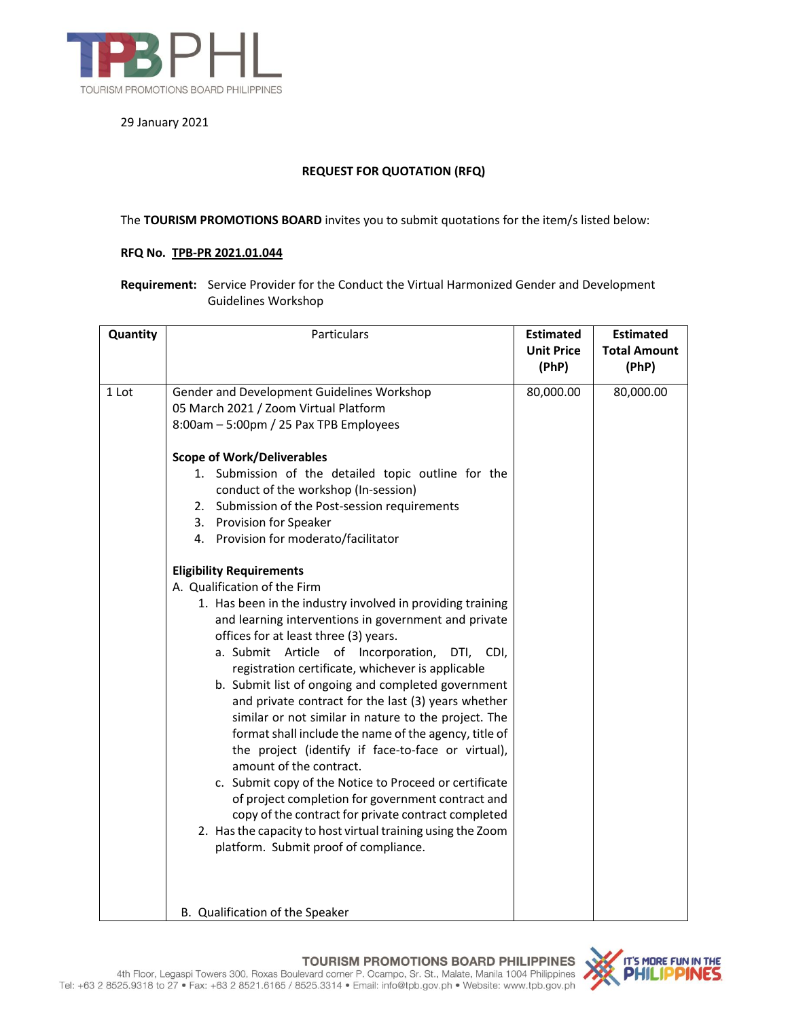

29 January 2021

## **REQUEST FOR QUOTATION (RFQ)**

## The **TOURISM PROMOTIONS BOARD** invites you to submit quotations for the item/s listed below:

## **RFQ No. TPB-PR 2021.01.044**

**Requirement:** Service Provider for the Conduct the Virtual Harmonized Gender and Development Guidelines Workshop

| Quantity | Particulars                                                 | <b>Estimated</b>           | <b>Estimated</b>             |
|----------|-------------------------------------------------------------|----------------------------|------------------------------|
|          |                                                             | <b>Unit Price</b><br>(PhP) | <b>Total Amount</b><br>(PhP) |
|          |                                                             |                            |                              |
| 1 Lot    | Gender and Development Guidelines Workshop                  | 80,000.00                  | 80,000.00                    |
|          | 05 March 2021 / Zoom Virtual Platform                       |                            |                              |
|          | 8:00am - 5:00pm / 25 Pax TPB Employees                      |                            |                              |
|          | <b>Scope of Work/Deliverables</b>                           |                            |                              |
|          | 1. Submission of the detailed topic outline for the         |                            |                              |
|          | conduct of the workshop (In-session)                        |                            |                              |
|          | 2. Submission of the Post-session requirements              |                            |                              |
|          | 3. Provision for Speaker                                    |                            |                              |
|          | 4. Provision for moderato/facilitator                       |                            |                              |
|          | <b>Eligibility Requirements</b>                             |                            |                              |
|          | A. Qualification of the Firm                                |                            |                              |
|          | 1. Has been in the industry involved in providing training  |                            |                              |
|          | and learning interventions in government and private        |                            |                              |
|          | offices for at least three (3) years.                       |                            |                              |
|          | a. Submit Article of Incorporation,<br>DTI, CDI,            |                            |                              |
|          | registration certificate, whichever is applicable           |                            |                              |
|          | b. Submit list of ongoing and completed government          |                            |                              |
|          | and private contract for the last (3) years whether         |                            |                              |
|          | similar or not similar in nature to the project. The        |                            |                              |
|          | format shall include the name of the agency, title of       |                            |                              |
|          | the project (identify if face-to-face or virtual),          |                            |                              |
|          | amount of the contract.                                     |                            |                              |
|          | c. Submit copy of the Notice to Proceed or certificate      |                            |                              |
|          | of project completion for government contract and           |                            |                              |
|          | copy of the contract for private contract completed         |                            |                              |
|          | 2. Has the capacity to host virtual training using the Zoom |                            |                              |
|          | platform. Submit proof of compliance.                       |                            |                              |
|          |                                                             |                            |                              |
|          |                                                             |                            |                              |
|          | B. Qualification of the Speaker                             |                            |                              |